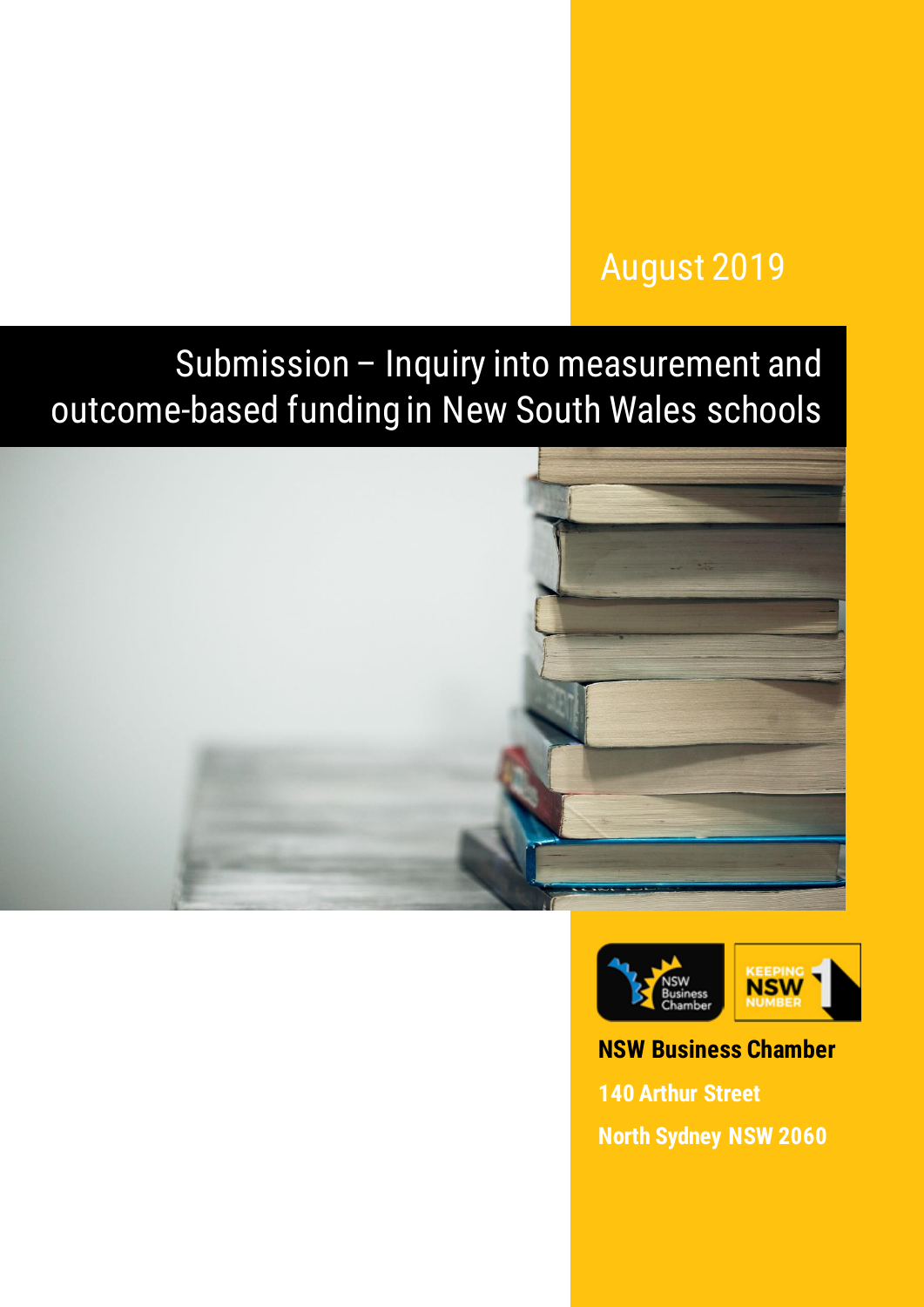## August 2019

# Submission – Inquiry into measurement and outcome-based funding in New South Wales schools





## **NSW Business Chamber 140 Arthur Street**

**North Sydney NSW 2060**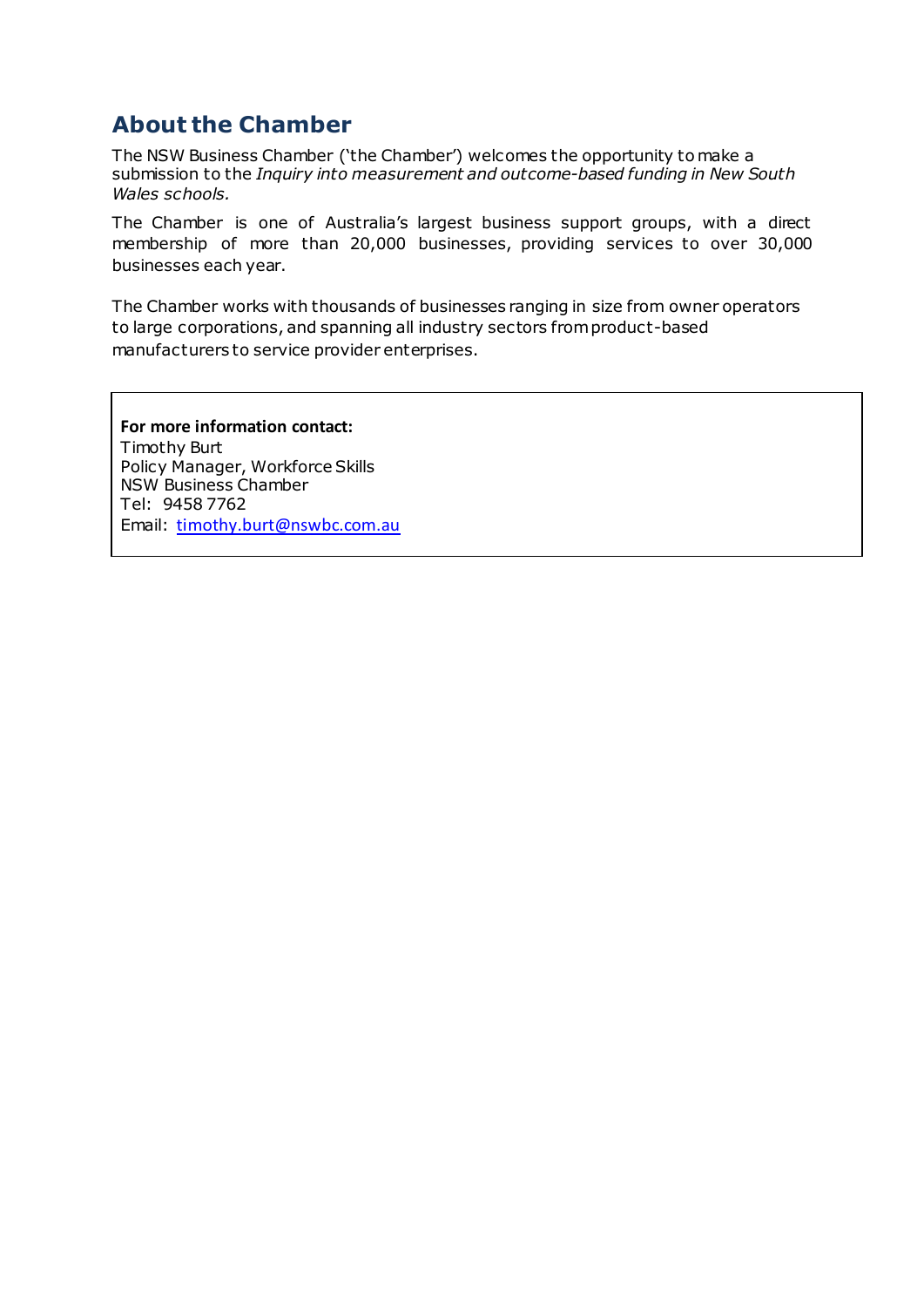## **About the Chamber**

The NSW Business Chamber ('the Chamber') welcomes the opportunity to make a submission to the *Inquiry into measurement and outcome-based funding in New South Wales schools.* 

The Chamber is one of Australia's largest business support groups, with a direct membership of more than 20,000 businesses, providing services to over 30,000 businesses each year.

The Chamber works with thousands of businesses ranging in size from owner operators to large corporations, and spanning all industry sectors from product-based manufacturers to service provider enterprises.

**For more information contact:** Timothy Burt Policy Manager, Workforce Skills NSW Business Chamber Tel: 9458 7762 Email: [timothy.burt@nswbc.com.au](mailto:timothy.burt@nswbc.com.au)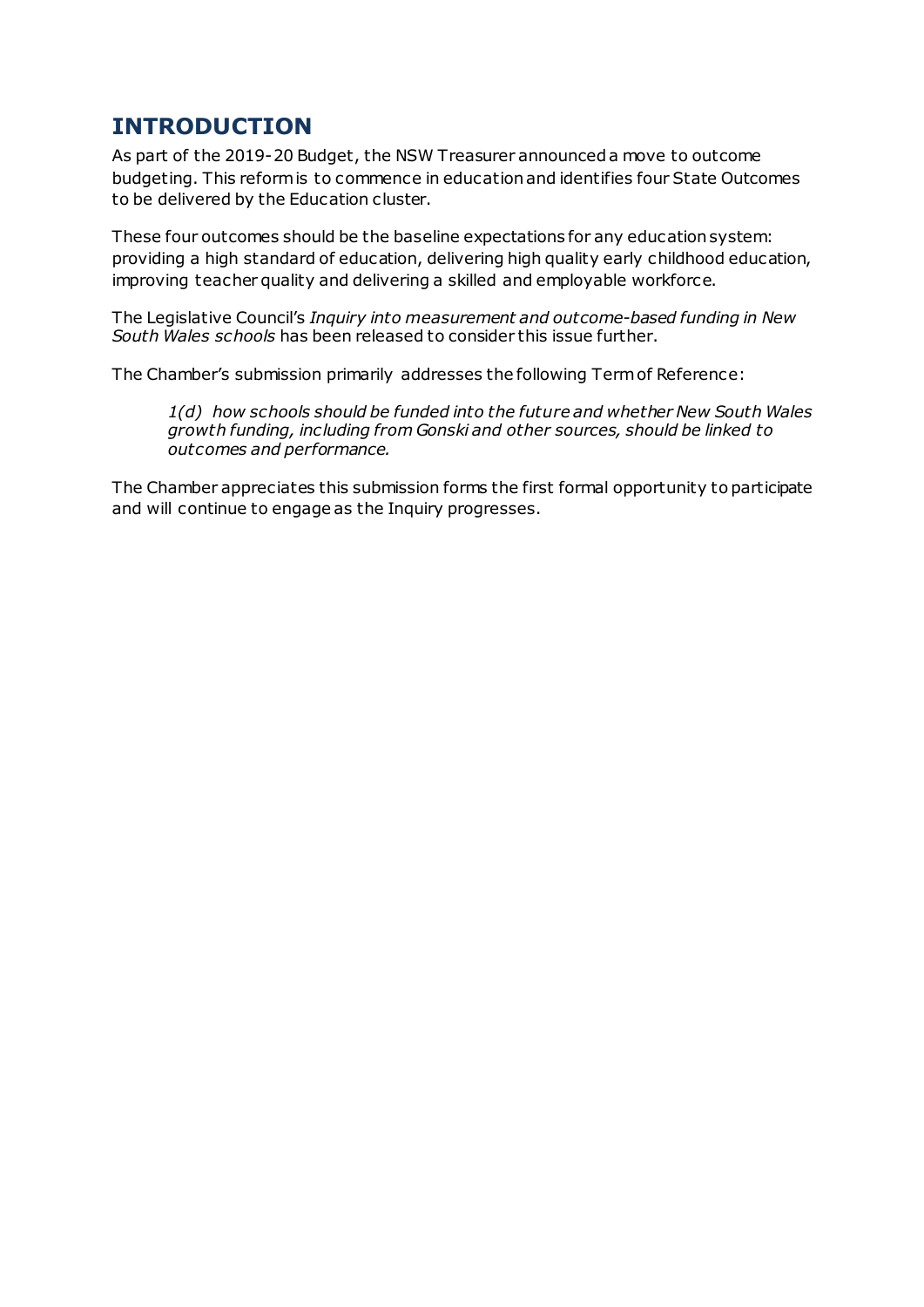### **INTRODUCTION**

As part of the 2019-20 Budget, the NSW Treasurer announced a move to outcome budgeting. This reform is to commence in education and identifies four State Outcomes to be delivered by the Education cluster.

These four outcomes should be the baseline expectations for any education system: providing a high standard of education, delivering high quality early childhood education, improving teacher quality and delivering a skilled and employable workforce.

The Legislative Council's *Inquiry into measurement and outcome-based funding in New South Wales schools* has been released to consider this issue further.

The Chamber's submission primarily addresses the following Termof Reference:

*1(d) how schools should be funded into the future and whether New South Wales growth funding, including from Gonski and other sources, should be linked to outcomes and performance.*

The Chamber appreciates this submission forms the first formal opportunity to participate and will continue to engage as the Inquiry progresses.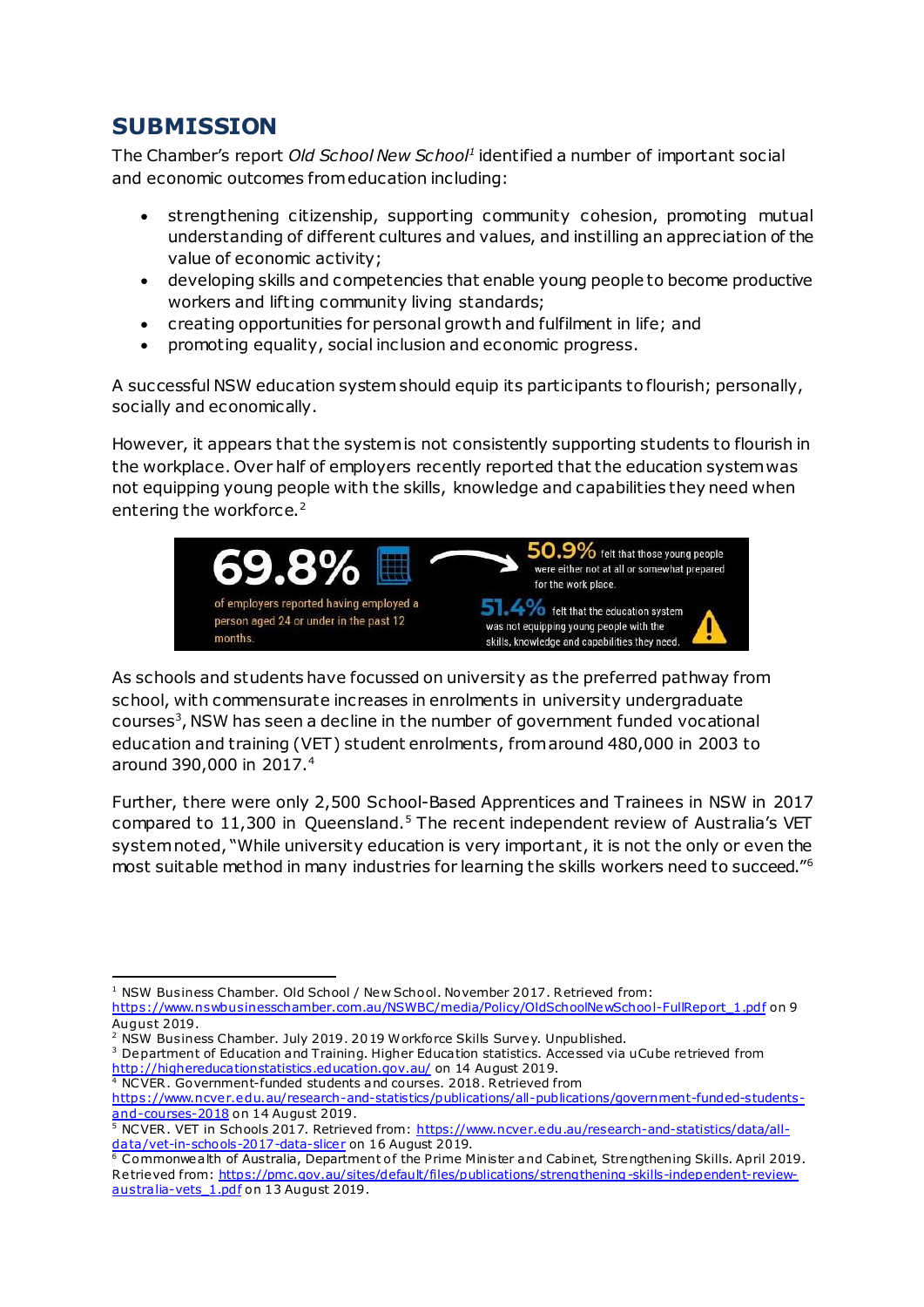## **SUBMISSION**

The Chamber's report *Old School New School<sup>1</sup>* identified a number of important social and economic outcomes from education including:

- strengthening citizenship, supporting community cohesion, promoting mutual understanding of different cultures and values, and instilling an appreciation of the value of economic activity;
- developing skills and competencies that enable young people to become productive workers and lifting community living standards;
- creating opportunities for personal growth and fulfilment in life; and
- promoting equality, social inclusion and economic progress.

A successful NSW education system should equip its participants to flourish; personally, socially and economically.

However, it appears that the system is not consistently supporting students to flourish in the workplace. Over half of employers recently reported that the education system was not equipping young people with the skills, knowledge and capabilities they need when entering the workforce.<sup>2</sup>



As schools and students have focussed on university as the preferred pathway from school, with commensurate increases in enrolments in university undergraduate courses<sup>3</sup>, NSW has seen a decline in the number of government funded vocational education and training (VET) student enrolments, from around 480,000 in 2003 to around 390,000 in 2017.<sup>4</sup>

Further, there were only 2,500 School-Based Apprentices and Trainees in NSW in 2017 compared to 11,300 in Queensland.<sup>5</sup> The recent independent review of Australia's VET system noted, "While university education is very important, it is not the only or even the most suitable method in many industries for learning the skills workers need to succeed."<sup>6</sup>

1

<sup>&</sup>lt;sup>1</sup> NSW Business Chamber. Old School / New School. November 2017. Retrieved from: [https://www.nswbusinesschamber.com.au/NSWBC/media/Policy/OldSchoolNewSchool-FullReport\\_1.pdf](https://www.nswbusinesschamber.com.au/NSWBC/media/Policy/OldSchoolNewSchool-FullReport_1.pdf) on 9

August 2019.

<sup>2</sup> NSW Business Chamber. July 2019. 2019 Workforce Skills Survey. Unpublished.

 $3$  Department of Education and Training. Higher Education statistics. Accessed via uCube retrieved from <http://highereducationstatistics.education.gov.au/> on 14 August 2019.

<sup>&</sup>lt;sup>4</sup> NCVER. Government-funded students and courses. 2018. Retrieved from [https://www.ncver.edu.au/research-and-statistics/publications/all-publications/government-funded-students](https://www.ncver.edu.au/research-and-statistics/publications/all-publications/government-funded-students-and-courses-2018)[and-courses-2018](https://www.ncver.edu.au/research-and-statistics/publications/all-publications/government-funded-students-and-courses-2018) on 14 August 2019.

<sup>5</sup> NCVER. VET in Schools 2017. Retrieved from[: https://www.ncver.edu.au/research-and-statistics/data/all](https://www.ncver.edu.au/research-and-statistics/data/all-data/vet-in-schools-2017-data-slicer)[data/vet-in-schools-2017-data-slicer](https://www.ncver.edu.au/research-and-statistics/data/all-data/vet-in-schools-2017-data-slicer) on 16 August 2019.

 $6$  Commonwealth of Australia, Department of the Prime Minister and Cabinet, Strengthening Skills. April 2019. Retrieved from[: https://pmc.gov.au/sites/default/files/publications/strengthening-skills-independent-review](https://pmc.gov.au/sites/default/files/publications/strengthening-skills-independent-review-australia-vets_1.pdf)australia-vets 1.pdf on 13 August 2019.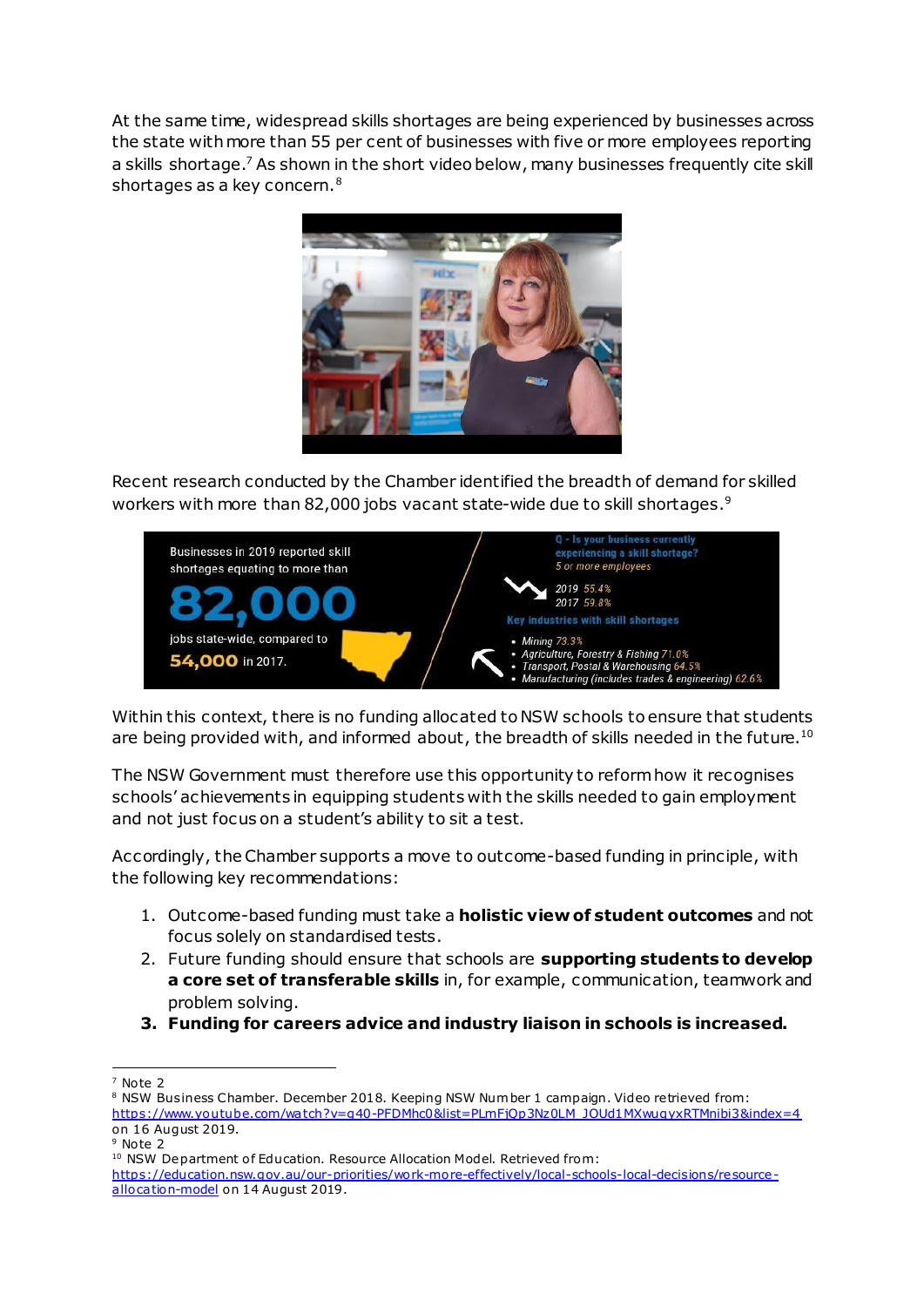At the same time, widespread skills shortages are being experienced by businesses across the state with more than 55 per cent of businesses with five or more employees reporting a skills shortage.<sup>7</sup> As shown in the short video below, many businesses frequently cite skill shortages as a key concern.<sup>8</sup>



Recent research conducted by the Chamber identified the breadth of demand for skilled workers with more than 82,000 jobs vacant state-wide due to skill shortages. 9



Within this context, there is no funding allocated to NSW schools to ensure that students are being provided with, and informed about, the breadth of skills needed in the future.<sup>10</sup>

The NSW Government must therefore use this opportunity to reform how it recognises schools' achievements in equipping students with the skills needed to gain employment and not just focus on a student's ability to sit a test.

Accordingly, the Chamber supports a move to outcome-based funding in principle, with the following key recommendations:

- 1. Outcome-based funding must take a **holistic view of student outcomes** and not focus solely on standardised tests.
- 2. Future funding should ensure that schools are **supporting students to develop a core set of transferable skills** in, for example, communication, teamwork and problem solving.
- **3. Funding for careers advice and industry liaison in schools is increased.**

1

<sup>7</sup> Note 2

<sup>&</sup>lt;sup>8</sup> NSW Business Chamber. December 2018. Keeping NSW Number 1 campaign. Video retrieved from: [https://www.youtube.com/watch?v=g40-PFDMhc0&list=PLmFjQp3Nz0LM\\_JOUd1MXwuqyxRTMnibi3&index=4](https://www.youtube.com/watch?v=g40-PFDMhc0&list=PLmFjQp3Nz0LM_JOUd1MXwuqyxRTMnibi3&index=4) on 16 August 2019.

<sup>&</sup>lt;sup>9</sup> Note 2

<sup>&</sup>lt;sup>10</sup> NSW Department of Education. Resource Allocation Model. Retrieved from:

[https://education.nsw.gov.au/our-priorities/work-more-effectively/local-schools-local-decisions/resource](https://education.nsw.gov.au/our-priorities/work-more-effectively/local-schools-local-decisions/resource-allocation-model)[allocation-model](https://education.nsw.gov.au/our-priorities/work-more-effectively/local-schools-local-decisions/resource-allocation-model) on 14 August 2019.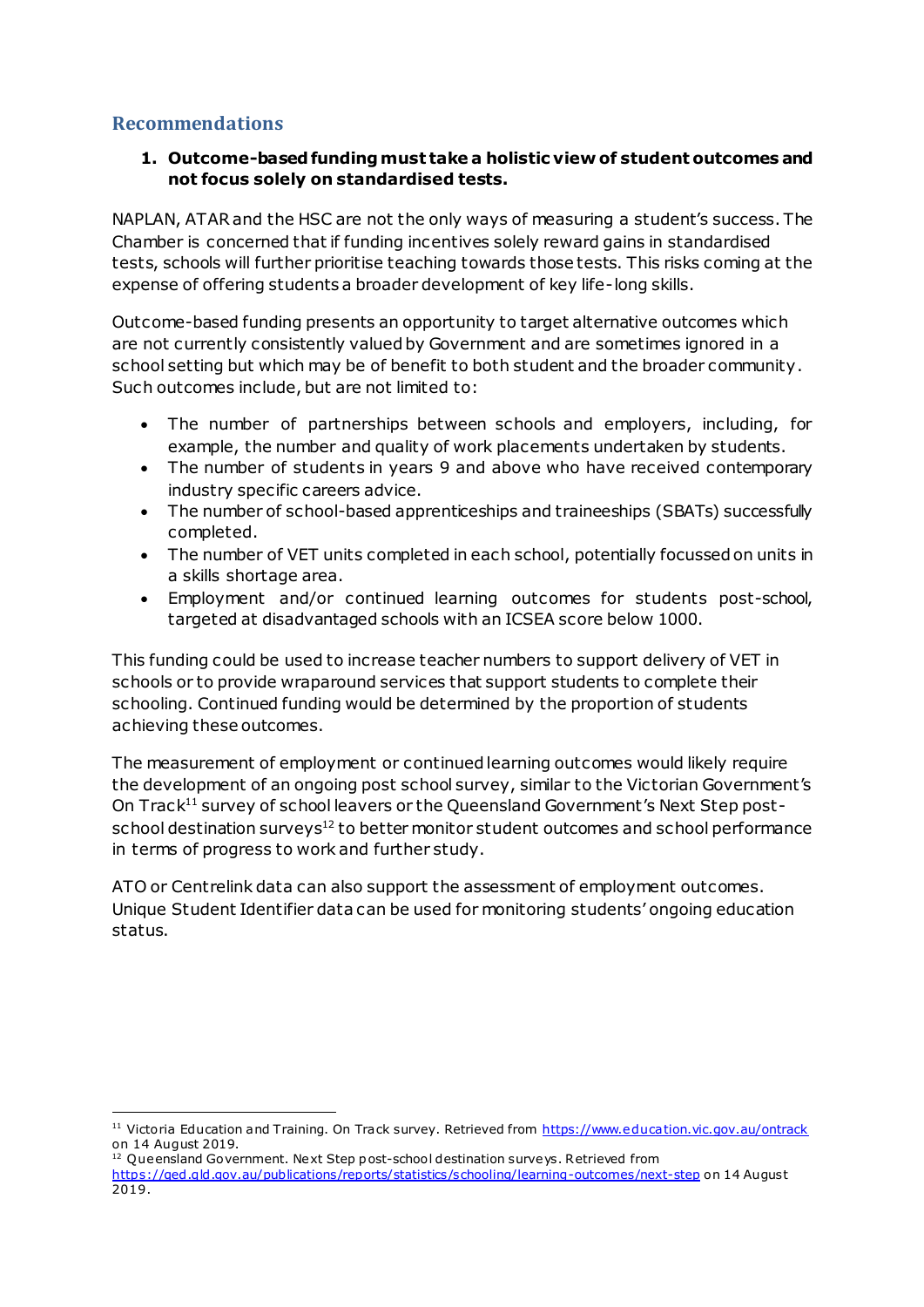### **Recommendations**

1

#### **1. Outcome-basedfundingmust take a holistic view of student outcomes and not focus solely on standardised tests.**

NAPLAN, ATARand the HSC are not the only ways of measuring a student's success. The Chamber is concerned that if funding incentives solely reward gains in standardised tests, schools will further prioritise teaching towards those tests. This risks coming at the expense of offering students a broader development of key life-long skills.

Outcome-based funding presents an opportunity to target alternative outcomes which are not currently consistently valued by Government and are sometimes ignored in a school setting but which may be of benefit to both student and the broader community. Such outcomes include, but are not limited to:

- The number of partnerships between schools and employers, including, for example, the number and quality of work placements undertaken by students.
- The number of students in years 9 and above who have received contemporary industry specific careers advice.
- The number of school-based apprenticeships and traineeships (SBATs) successfully completed.
- The number of VET units completed in each school, potentially focussed on units in a skills shortage area.
- Employment and/or continued learning outcomes for students post-school, targeted at disadvantaged schools with an ICSEA score below 1000.

This funding could be used to increase teacher numbers to support delivery of VET in schools or to provide wraparound services that support students to complete their schooling. Continued funding would be determined by the proportion of students achieving these outcomes.

The measurement of employment or continued learning outcomes would likely require the development of an ongoing post school survey, similar to the Victorian Government's On Track<sup>11</sup> survey of school leavers or the Queensland Government's Next Step postschool destination surveys<sup>12</sup> to better monitor student outcomes and school performance in terms of progress to work and further study.

ATO or Centrelink data can also support the assessment of employment outcomes. Unique Student Identifier data can be used for monitoring students' ongoing education status.

<sup>&</sup>lt;sup>11</sup> Victoria Education and Training. On Track survey. Retrieved fro[m https://www.education.vic.gov.au/ontrack](https://www.education.vic.gov.au/ontrack) on 14 August 2019.

<sup>&</sup>lt;sup>12</sup> Queensland Government. Next Step post-school destination surveys. Retrieved from <https://qed.qld.gov.au/publications/reports/statistics/schooling/learning-outcomes/next-step> on 14 August 2019.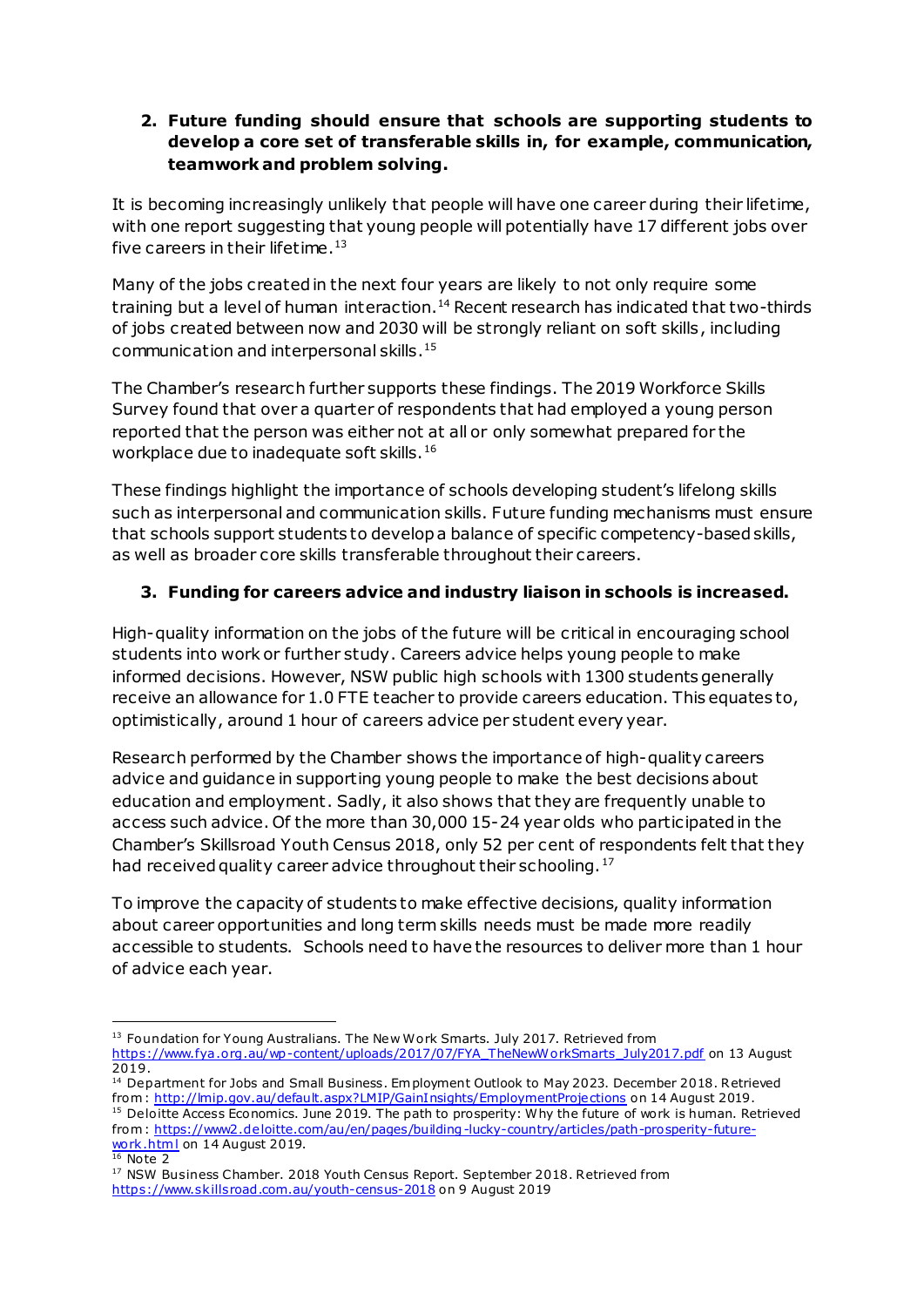#### **2. Future funding should ensure that schools are supporting students to develop a core set of transferable skills in, for example, communication, teamwork and problem solving.**

It is becoming increasingly unlikely that people will have one career during their lifetime, with one report suggesting that young people will potentially have 17 different jobs over five careers in their lifetime. $^{\rm 13}$ 

Many of the jobs created in the next four years are likely to not only require some training but a level of human interaction.<sup>14</sup> Recent research has indicated that two-thirds of jobs created between now and 2030 will be strongly reliant on soft skills, including communication and interpersonal skills. 15

The Chamber's research further supports these findings. The 2019 Workforce Skills Survey found that over a quarter of respondents that had employed a young person reported that the person was either not at all or only somewhat prepared for the workplace due to inadequate soft skills.<sup>16</sup>

These findings highlight the importance of schools developing student's lifelong skills such as interpersonal and communication skills. Future funding mechanisms must ensure that schools support students to develop a balance of specific competency-based skills, as well as broader core skills transferable throughout their careers.

#### **3. Funding for careers advice and industry liaison in schools is increased.**

High-quality information on the jobs of the future will be critical in encouraging school students into work or further study. Careers advice helps young people to make informed decisions. However, NSW public high schools with 1300 students generally receive an allowance for 1.0 FTE teacher to provide careers education. This equates to, optimistically, around 1 hour of careers advice per student every year.

Research performed by the Chamber shows the importance of high-quality careers advice and guidance in supporting young people to make the best decisions about education and employment. Sadly, it also shows that they are frequently unable to access such advice. Of the more than 30,000 15-24 year olds who participated in the Chamber's Skillsroad Youth Census 2018, only 52 per cent of respondents felt that they had received quality career advice throughout their schooling.<sup>17</sup>

To improve the capacity of students to make effective decisions, quality information about career opportunities and long term skills needs must be made more readily accessible to students. Schools need to have the resources to deliver more than 1 hour of advice each year.

from[: https://www2.deloitte.com/au/en/pages/building-lucky-country/articles/path-prosperity-future](https://www2.deloitte.com/au/en/pages/building-lucky-country/articles/path-prosperity-future-work.html)work.html on 14 August 2019.

 $16$  Note 2

1

<sup>&</sup>lt;sup>13</sup> Foundation for Young Australians. The New Work Smarts. July 2017. Retrieved from [https://www.fya .org.au/wp-content/uploads/2017/07/FYA\\_TheNewWorkSmarts\\_July2017.pdf](https://www.fya.org.au/wp-content/uploads/2017/07/FYA_TheNewWorkSmarts_July2017.pdf) on 13 August 2019.

<sup>&</sup>lt;sup>14</sup> Department for Jobs and Small Business. Em ployment Outlook to May 2023. December 2018. Retrieved from [: http://lmip.gov.au/default.aspx?LMIP/GainInsights/EmploymentProjections](http://lmip.gov.au/default.aspx?LMIP/GainInsights/EmploymentProjections) on 14 August 2019. <sup>15</sup> Deloitte Access Economics. June 2019. The path to prosperity: Why the future of work is human. Retrieved

<sup>&</sup>lt;sup>17</sup> NSW Business Chamber. 2018 Youth Census Report. September 2018. Retrieved from <https://www.skillsroad.com.au/youth-census-2018> on 9 August 2019